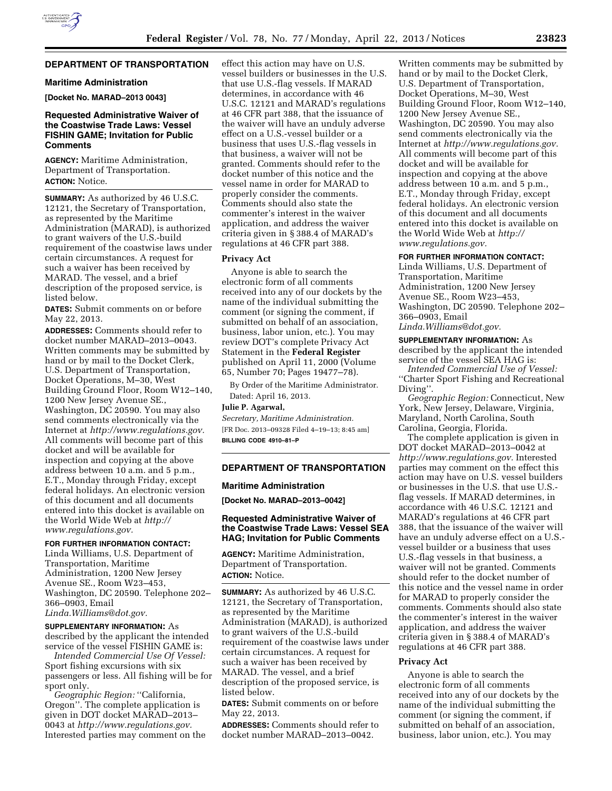# **DEPARTMENT OF TRANSPORTATION**

#### **Maritime Administration**

**[Docket No. MARAD–2013 0043]** 

# **Requested Administrative Waiver of the Coastwise Trade Laws: Vessel FISHIN GAME; Invitation for Public Comments**

**AGENCY:** Maritime Administration, Department of Transportation. **ACTION:** Notice.

**SUMMARY:** As authorized by 46 U.S.C. 12121, the Secretary of Transportation, as represented by the Maritime Administration (MARAD), is authorized to grant waivers of the U.S.-build requirement of the coastwise laws under certain circumstances. A request for such a waiver has been received by MARAD. The vessel, and a brief description of the proposed service, is listed below.

**DATES:** Submit comments on or before May 22, 2013.

**ADDRESSES:** Comments should refer to docket number MARAD–2013–0043. Written comments may be submitted by hand or by mail to the Docket Clerk, U.S. Department of Transportation, Docket Operations, M–30, West Building Ground Floor, Room W12–140, 1200 New Jersey Avenue SE., Washington, DC 20590. You may also send comments electronically via the Internet at *[http://www.regulations.gov.](http://www.regulations.gov)*  All comments will become part of this docket and will be available for inspection and copying at the above address between 10 a.m. and 5 p.m., E.T., Monday through Friday, except federal holidays. An electronic version of this document and all documents entered into this docket is available on the World Wide Web at *[http://](http://www.regulations.gov)  [www.regulations.gov.](http://www.regulations.gov)* 

# **FOR FURTHER INFORMATION CONTACT:**

Linda Williams, U.S. Department of Transportation, Maritime Administration, 1200 New Jersey Avenue SE., Room W23–453, Washington, DC 20590. Telephone 202– 366–0903, Email *[Linda.Williams@dot.gov.](mailto:Linda.Williams@dot.gov)* 

## **SUPPLEMENTARY INFORMATION:** As

described by the applicant the intended service of the vessel FISHIN GAME is:

*Intended Commercial Use Of Vessel:*  Sport fishing excursions with six passengers or less. All fishing will be for sport only.

*Geographic Region:* ''California, Oregon''. The complete application is given in DOT docket MARAD–2013– 0043 at *[http://www.regulations.gov.](http://www.regulations.gov)*  Interested parties may comment on the effect this action may have on U.S. vessel builders or businesses in the U.S. that use U.S.-flag vessels. If MARAD determines, in accordance with 46 U.S.C. 12121 and MARAD's regulations at 46 CFR part 388, that the issuance of the waiver will have an unduly adverse effect on a U.S.-vessel builder or a business that uses U.S.-flag vessels in that business, a waiver will not be granted. Comments should refer to the docket number of this notice and the vessel name in order for MARAD to properly consider the comments. Comments should also state the commenter's interest in the waiver application, and address the waiver criteria given in § 388.4 of MARAD's regulations at 46 CFR part 388.

## **Privacy Act**

Anyone is able to search the electronic form of all comments received into any of our dockets by the name of the individual submitting the comment (or signing the comment, if submitted on behalf of an association, business, labor union, etc.). You may review DOT's complete Privacy Act Statement in the **Federal Register**  published on April 11, 2000 (Volume 65, Number 70; Pages 19477–78).

By Order of the Maritime Administrator. Dated: April 16, 2013.

# **Julie P. Agarwal,**

*Secretary, Maritime Administration.*  [FR Doc. 2013–09328 Filed 4–19–13; 8:45 am] **BILLING CODE 4910–81–P** 

#### **DEPARTMENT OF TRANSPORTATION**

#### **Maritime Administration**

**[Docket No. MARAD–2013–0042]** 

## **Requested Administrative Waiver of the Coastwise Trade Laws: Vessel SEA HAG; Invitation for Public Comments**

**AGENCY:** Maritime Administration, Department of Transportation. **ACTION:** Notice.

**SUMMARY:** As authorized by 46 U.S.C. 12121, the Secretary of Transportation, as represented by the Maritime Administration (MARAD), is authorized to grant waivers of the U.S.-build requirement of the coastwise laws under certain circumstances. A request for such a waiver has been received by MARAD. The vessel, and a brief description of the proposed service, is listed below.

**DATES:** Submit comments on or before May 22, 2013.

**ADDRESSES:** Comments should refer to docket number MARAD–2013–0042.

Written comments may be submitted by hand or by mail to the Docket Clerk, U.S. Department of Transportation, Docket Operations, M–30, West Building Ground Floor, Room W12–140, 1200 New Jersey Avenue SE., Washington, DC 20590. You may also send comments electronically via the Internet at *[http://www.regulations.gov.](http://www.regulations.gov)*  All comments will become part of this docket and will be available for inspection and copying at the above address between 10 a.m. and 5 p.m., E.T., Monday through Friday, except federal holidays. An electronic version of this document and all documents entered into this docket is available on the World Wide Web at *[http://](http://www.regulations.gov)  [www.regulations.gov.](http://www.regulations.gov)* 

#### **FOR FURTHER INFORMATION CONTACT:**

Linda Williams, U.S. Department of Transportation, Maritime Administration, 1200 New Jersey Avenue SE., Room W23–453, Washington, DC 20590. Telephone 202– 366–0903, Email *[Linda.Williams@dot.gov.](mailto:Linda.Williams@dot.gov)* 

# **SUPPLEMENTARY INFORMATION:** As

described by the applicant the intended service of the vessel SEA HAG is:

*Intended Commercial Use of Vessel:*  ''Charter Sport Fishing and Recreational Diving''.

*Geographic Region:* Connecticut, New York, New Jersey, Delaware, Virginia, Maryland, North Carolina, South Carolina, Georgia, Florida.

The complete application is given in DOT docket MARAD–2013–0042 at *[http://www.regulations.gov.](http://www.regulations.gov)* Interested parties may comment on the effect this action may have on U.S. vessel builders or businesses in the U.S. that use U.S. flag vessels. If MARAD determines, in accordance with 46 U.S.C. 12121 and MARAD's regulations at 46 CFR part 388, that the issuance of the waiver will have an unduly adverse effect on a U.S. vessel builder or a business that uses U.S.-flag vessels in that business, a waiver will not be granted. Comments should refer to the docket number of this notice and the vessel name in order for MARAD to properly consider the comments. Comments should also state the commenter's interest in the waiver application, and address the waiver criteria given in § 388.4 of MARAD's regulations at 46 CFR part 388.

## **Privacy Act**

Anyone is able to search the electronic form of all comments received into any of our dockets by the name of the individual submitting the comment (or signing the comment, if submitted on behalf of an association, business, labor union, etc.). You may